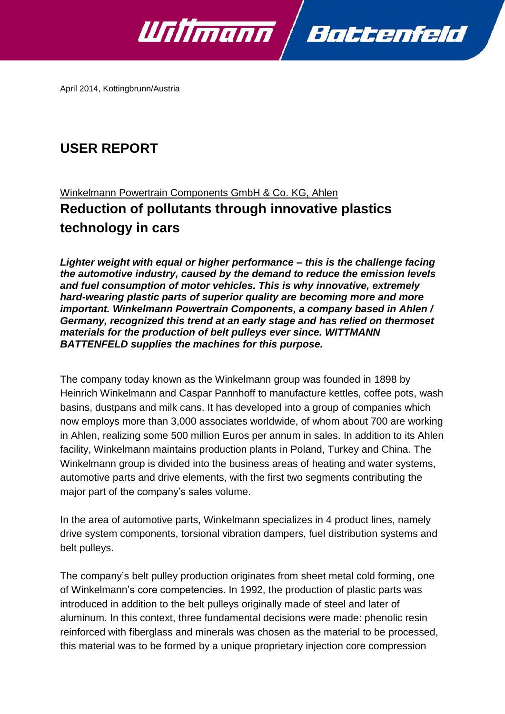

April 2014, Kottingbrunn/Austria

# **USER REPORT**

# Winkelmann Powertrain Components GmbH & Co. KG, Ahlen **Reduction of pollutants through innovative plastics technology in cars**

*Lighter weight with equal or higher performance – this is the challenge facing the automotive industry, caused by the demand to reduce the emission levels and fuel consumption of motor vehicles. This is why innovative, extremely hard-wearing plastic parts of superior quality are becoming more and more important. Winkelmann Powertrain Components, a company based in Ahlen / Germany, recognized this trend at an early stage and has relied on thermoset materials for the production of belt pulleys ever since. WITTMANN BATTENFELD supplies the machines for this purpose.* 

The company today known as the Winkelmann group was founded in 1898 by Heinrich Winkelmann and Caspar Pannhoff to manufacture kettles, coffee pots, wash basins, dustpans and milk cans. It has developed into a group of companies which now employs more than 3,000 associates worldwide, of whom about 700 are working in Ahlen, realizing some 500 million Euros per annum in sales. In addition to its Ahlen facility, Winkelmann maintains production plants in Poland, Turkey and China. The Winkelmann group is divided into the business areas of heating and water systems, automotive parts and drive elements, with the first two segments contributing the major part of the company's sales volume.

In the area of automotive parts, Winkelmann specializes in 4 product lines, namely drive system components, torsional vibration dampers, fuel distribution systems and belt pulleys.

The company's belt pulley production originates from sheet metal cold forming, one of Winkelmann's core competencies. In 1992, the production of plastic parts was introduced in addition to the belt pulleys originally made of steel and later of aluminum. In this context, three fundamental decisions were made: phenolic resin reinforced with fiberglass and minerals was chosen as the material to be processed, this material was to be formed by a unique proprietary injection core compression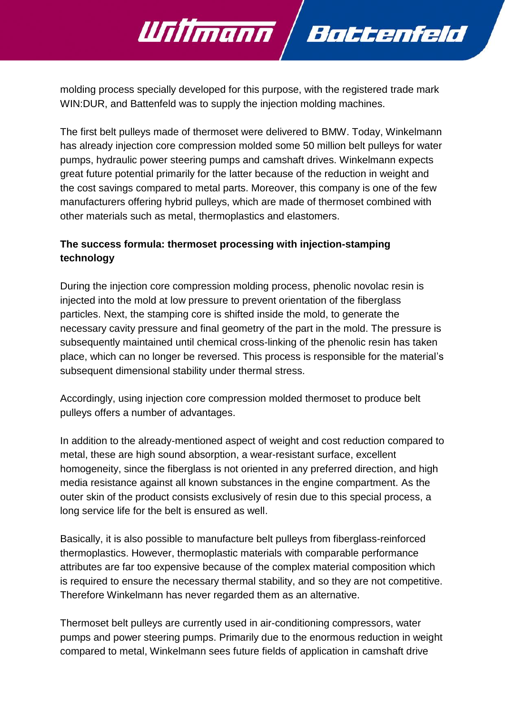molding process specially developed for this purpose, with the registered trade mark WIN:DUR, and Battenfeld was to supply the injection molding machines.

Willmann Bottenfeld

The first belt pulleys made of thermoset were delivered to BMW. Today, Winkelmann has already injection core compression molded some 50 million belt pulleys for water pumps, hydraulic power steering pumps and camshaft drives. Winkelmann expects great future potential primarily for the latter because of the reduction in weight and the cost savings compared to metal parts. Moreover, this company is one of the few manufacturers offering hybrid pulleys, which are made of thermoset combined with other materials such as metal, thermoplastics and elastomers.

# **The success formula: thermoset processing with injection-stamping technology**

During the injection core compression molding process, phenolic novolac resin is injected into the mold at low pressure to prevent orientation of the fiberglass particles. Next, the stamping core is shifted inside the mold, to generate the necessary cavity pressure and final geometry of the part in the mold. The pressure is subsequently maintained until chemical cross-linking of the phenolic resin has taken place, which can no longer be reversed. This process is responsible for the material's subsequent dimensional stability under thermal stress.

Accordingly, using injection core compression molded thermoset to produce belt pulleys offers a number of advantages.

In addition to the already-mentioned aspect of weight and cost reduction compared to metal, these are high sound absorption, a wear-resistant surface, excellent homogeneity, since the fiberglass is not oriented in any preferred direction, and high media resistance against all known substances in the engine compartment. As the outer skin of the product consists exclusively of resin due to this special process, a long service life for the belt is ensured as well.

Basically, it is also possible to manufacture belt pulleys from fiberglass-reinforced thermoplastics. However, thermoplastic materials with comparable performance attributes are far too expensive because of the complex material composition which is required to ensure the necessary thermal stability, and so they are not competitive. Therefore Winkelmann has never regarded them as an alternative.

Thermoset belt pulleys are currently used in air-conditioning compressors, water pumps and power steering pumps. Primarily due to the enormous reduction in weight compared to metal, Winkelmann sees future fields of application in camshaft drive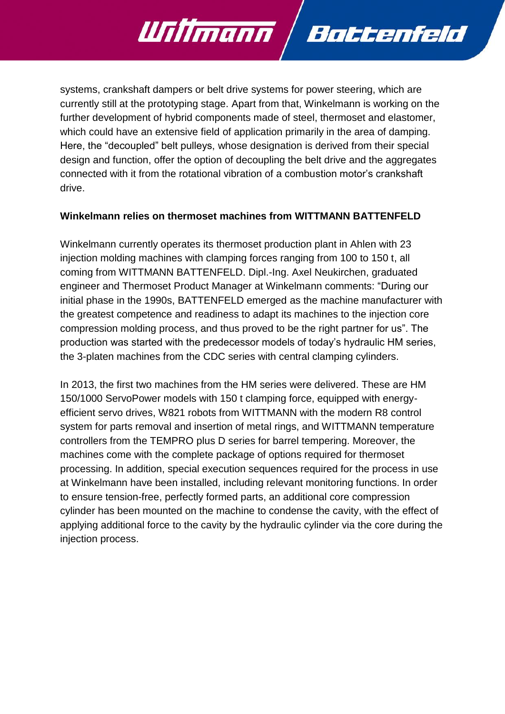systems, crankshaft dampers or belt drive systems for power steering, which are currently still at the prototyping stage. Apart from that, Winkelmann is working on the further development of hybrid components made of steel, thermoset and elastomer, which could have an extensive field of application primarily in the area of damping. Here, the "decoupled" belt pulleys, whose designation is derived from their special design and function, offer the option of decoupling the belt drive and the aggregates connected with it from the rotational vibration of a combustion motor's crankshaft drive.

Battenfeld

Willmann /

### **Winkelmann relies on thermoset machines from WITTMANN BATTENFELD**

Winkelmann currently operates its thermoset production plant in Ahlen with 23 injection molding machines with clamping forces ranging from 100 to 150 t, all coming from WITTMANN BATTENFELD. Dipl.-Ing. Axel Neukirchen, graduated engineer and Thermoset Product Manager at Winkelmann comments: "During our initial phase in the 1990s, BATTENFELD emerged as the machine manufacturer with the greatest competence and readiness to adapt its machines to the injection core compression molding process, and thus proved to be the right partner for us". The production was started with the predecessor models of today's hydraulic HM series, the 3-platen machines from the CDC series with central clamping cylinders.

In 2013, the first two machines from the HM series were delivered. These are HM 150/1000 ServoPower models with 150 t clamping force, equipped with energyefficient servo drives, W821 robots from WITTMANN with the modern R8 control system for parts removal and insertion of metal rings, and WITTMANN temperature controllers from the TEMPRO plus D series for barrel tempering. Moreover, the machines come with the complete package of options required for thermoset processing. In addition, special execution sequences required for the process in use at Winkelmann have been installed, including relevant monitoring functions. In order to ensure tension-free, perfectly formed parts, an additional core compression cylinder has been mounted on the machine to condense the cavity, with the effect of applying additional force to the cavity by the hydraulic cylinder via the core during the injection process.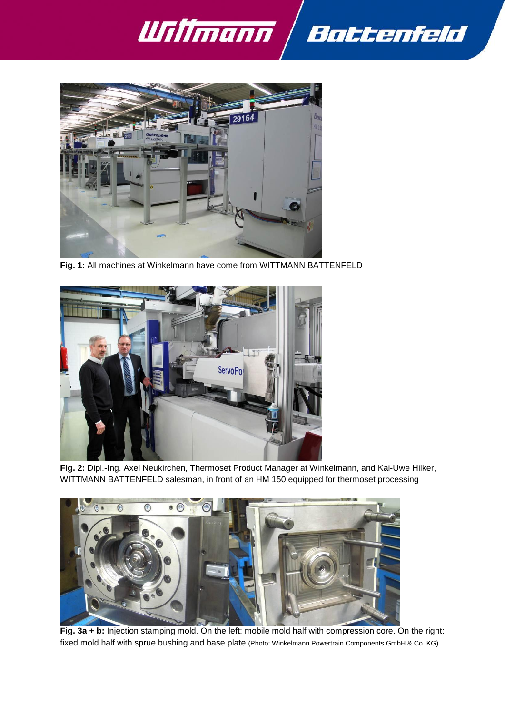



**Fig. 1:** All machines at Winkelmann have come from WITTMANN BATTENFELD



**Fig. 2:** Dipl.-Ing. Axel Neukirchen, Thermoset Product Manager at Winkelmann, and Kai-Uwe Hilker, WITTMANN BATTENFELD salesman, in front of an HM 150 equipped for thermoset processing



**Fig. 3a + b:** Injection stamping mold. On the left: mobile mold half with compression core. On the right: fixed mold half with sprue bushing and base plate (Photo: Winkelmann Powertrain Components GmbH & Co. KG)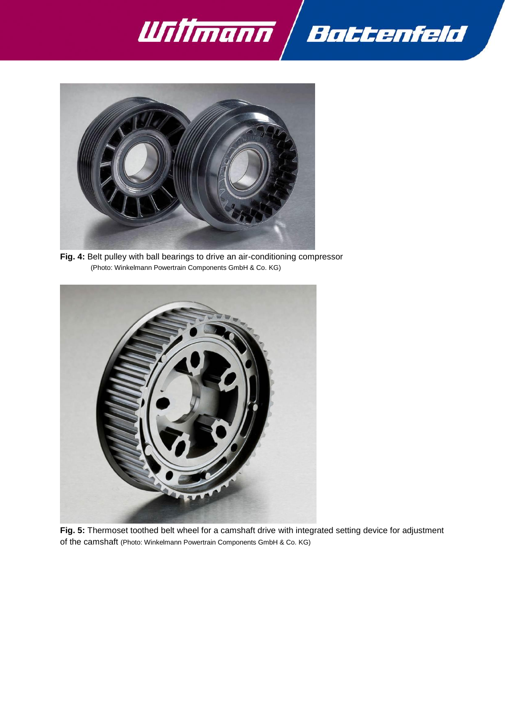



**Fig. 4:** Belt pulley with ball bearings to drive an air-conditioning compressor (Photo: Winkelmann Powertrain Components GmbH & Co. KG)



**Fig. 5:** Thermoset toothed belt wheel for a camshaft drive with integrated setting device for adjustment of the camshaft (Photo: Winkelmann Powertrain Components GmbH & Co. KG)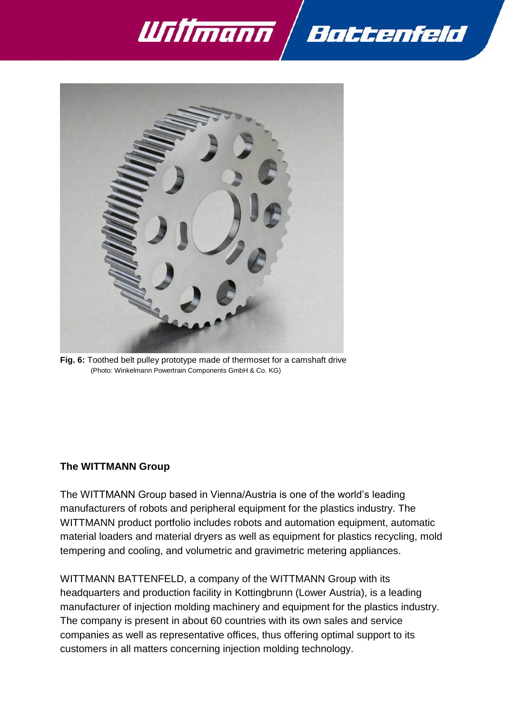



**Fig. 6:** Toothed belt pulley prototype made of thermoset for a camshaft drive (Photo: Winkelmann Powertrain Components GmbH & Co. KG)

#### **The WITTMANN Group**

The WITTMANN Group based in Vienna/Austria is one of the world's leading manufacturers of robots and peripheral equipment for the plastics industry. The WITTMANN product portfolio includes robots and automation equipment, automatic material loaders and material dryers as well as equipment for plastics recycling, mold tempering and cooling, and volumetric and gravimetric metering appliances.

WITTMANN BATTENFELD, a company of the WITTMANN Group with its headquarters and production facility in Kottingbrunn (Lower Austria), is a leading manufacturer of injection molding machinery and equipment for the plastics industry. The company is present in about 60 countries with its own sales and service companies as well as representative offices, thus offering optimal support to its customers in all matters concerning injection molding technology.